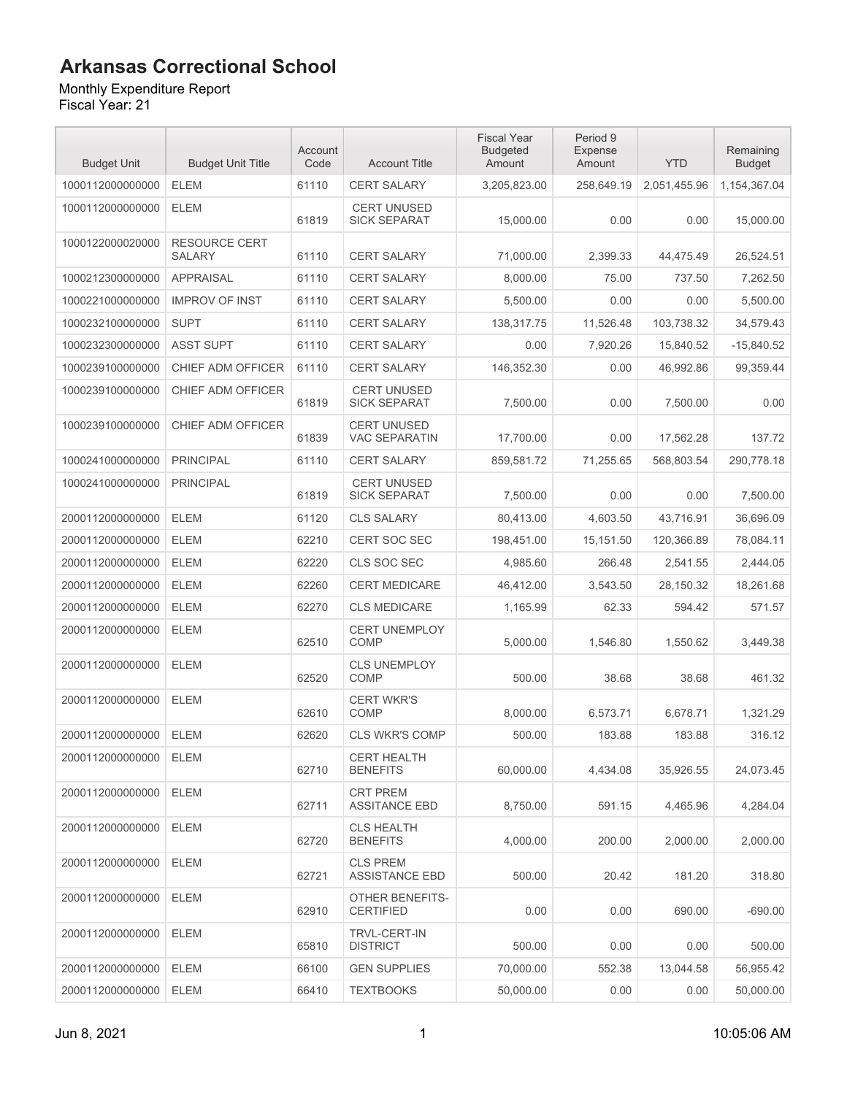Monthly Expenditure Report

| <b>Budget Unit</b> | <b>Budget Unit Title</b>              | Account<br>Code | <b>Account Title</b>                       | <b>Fiscal Year</b><br><b>Budgeted</b><br>Amount | Period 9<br>Expense<br>Amount | <b>YTD</b>   | Remaining<br><b>Budget</b> |
|--------------------|---------------------------------------|-----------------|--------------------------------------------|-------------------------------------------------|-------------------------------|--------------|----------------------------|
| 1000112000000000   | <b>ELEM</b>                           | 61110           | <b>CERT SALARY</b>                         | 3,205,823.00                                    | 258,649.19                    | 2,051,455.96 | 1,154,367.04               |
| 1000112000000000   | <b>ELEM</b>                           | 61819           | <b>CERT UNUSED</b><br><b>SICK SEPARAT</b>  | 15.000.00                                       | 0.00                          | 0.00         | 15.000.00                  |
| 1000122000020000   | <b>RESOURCE CERT</b><br><b>SALARY</b> | 61110           | <b>CERT SALARY</b>                         | 71,000.00                                       | 2,399.33                      | 44,475.49    | 26,524.51                  |
| 1000212300000000   | <b>APPRAISAL</b>                      | 61110           | <b>CERT SALARY</b>                         | 8,000.00                                        | 75.00                         | 737.50       | 7,262.50                   |
| 1000221000000000   | <b>IMPROV OF INST</b>                 | 61110           | <b>CERT SALARY</b>                         | 5.500.00                                        | 0.00                          | 0.00         | 5,500.00                   |
| 1000232100000000   | <b>SUPT</b>                           | 61110           | <b>CERT SALARY</b>                         | 138,317.75                                      | 11,526.48                     | 103,738.32   | 34,579.43                  |
| 1000232300000000   | <b>ASST SUPT</b>                      | 61110           | <b>CERT SALARY</b>                         | 0.00                                            | 7,920.26                      | 15,840.52    | $-15,840.52$               |
| 1000239100000000   | CHIEF ADM OFFICER                     | 61110           | <b>CERT SALARY</b>                         | 146,352.30                                      | 0.00                          | 46,992.86    | 99,359.44                  |
| 1000239100000000   | CHIEF ADM OFFICER                     | 61819           | <b>CERT UNUSED</b><br><b>SICK SEPARAT</b>  | 7,500.00                                        | 0.00                          | 7,500.00     | 0.00                       |
| 1000239100000000   | CHIEF ADM OFFICER                     | 61839           | <b>CERT UNUSED</b><br><b>VAC SEPARATIN</b> | 17.700.00                                       | 0.00                          | 17,562.28    | 137.72                     |
| 1000241000000000   | <b>PRINCIPAL</b>                      | 61110           | <b>CERT SALARY</b>                         | 859,581.72                                      | 71,255.65                     | 568,803.54   | 290,778.18                 |
| 1000241000000000   | <b>PRINCIPAL</b>                      | 61819           | <b>CERT UNUSED</b><br><b>SICK SEPARAT</b>  | 7,500.00                                        | 0.00                          | 0.00         | 7,500.00                   |
| 2000112000000000   | <b>ELEM</b>                           | 61120           | <b>CLS SALARY</b>                          | 80,413.00                                       | 4,603.50                      | 43.716.91    | 36,696.09                  |
| 2000112000000000   | <b>ELEM</b>                           | 62210           | CERT SOC SEC                               | 198,451.00                                      | 15,151.50                     | 120,366.89   | 78,084.11                  |
| 2000112000000000   | <b>ELEM</b>                           | 62220           | CLS SOC SEC                                | 4,985.60                                        | 266.48                        | 2,541.55     | 2,444.05                   |
| 2000112000000000   | <b>ELEM</b>                           | 62260           | <b>CERT MEDICARE</b>                       | 46,412.00                                       | 3,543.50                      | 28,150.32    | 18,261.68                  |
| 2000112000000000   | <b>ELEM</b>                           | 62270           | <b>CLS MEDICARE</b>                        | 1,165.99                                        | 62.33                         | 594.42       | 571.57                     |
| 2000112000000000   | <b>ELEM</b>                           | 62510           | <b>CERT UNEMPLOY</b><br><b>COMP</b>        | 5,000.00                                        | 1,546.80                      | 1,550.62     | 3,449.38                   |
| 2000112000000000   | <b>ELEM</b>                           | 62520           | <b>CLS UNEMPLOY</b><br>COMP                | 500.00                                          | 38.68                         | 38.68        | 461.32                     |
| 2000112000000000   | <b>ELEM</b>                           | 62610           | <b>CERT WKR'S</b><br><b>COMP</b>           | 8.000.00                                        | 6,573.71                      | 6,678.71     | 1,321.29                   |
| 2000112000000000   | <b>ELEM</b>                           | 62620           | <b>CLS WKR'S COMP</b>                      | 500.00                                          | 183.88                        | 183.88       | 316.12                     |
| 2000112000000000   | ELEM                                  | 62710           | <b>CERT HEALTH</b><br><b>BENEFITS</b>      | 60,000.00                                       | 4,434.08                      | 35,926.55    | 24,073.45                  |
| 2000112000000000   | <b>ELEM</b>                           | 62711           | <b>CRT PREM</b><br><b>ASSITANCE EBD</b>    | 8,750.00                                        | 591.15                        | 4,465.96     | 4,284.04                   |
| 2000112000000000   | <b>ELEM</b>                           | 62720           | <b>CLS HEALTH</b><br><b>BENEFITS</b>       | 4,000.00                                        | 200.00                        | 2,000.00     | 2,000.00                   |
| 2000112000000000   | ELEM                                  | 62721           | <b>CLS PREM</b><br><b>ASSISTANCE EBD</b>   | 500.00                                          | 20.42                         | 181.20       | 318.80                     |
| 2000112000000000   | ELEM                                  | 62910           | <b>OTHER BENEFITS-</b><br><b>CERTIFIED</b> | 0.00                                            | 0.00                          | 690.00       | $-690.00$                  |
| 2000112000000000   | <b>ELEM</b>                           | 65810           | <b>TRVL-CERT-IN</b><br><b>DISTRICT</b>     | 500.00                                          | 0.00                          | 0.00         | 500.00                     |
| 2000112000000000   | <b>ELEM</b>                           | 66100           | <b>GEN SUPPLIES</b>                        | 70,000.00                                       | 552.38                        | 13,044.58    | 56,955.42                  |
| 2000112000000000   | ELEM                                  | 66410           | <b>TEXTBOOKS</b>                           | 50,000.00                                       | 0.00                          | 0.00         | 50,000.00                  |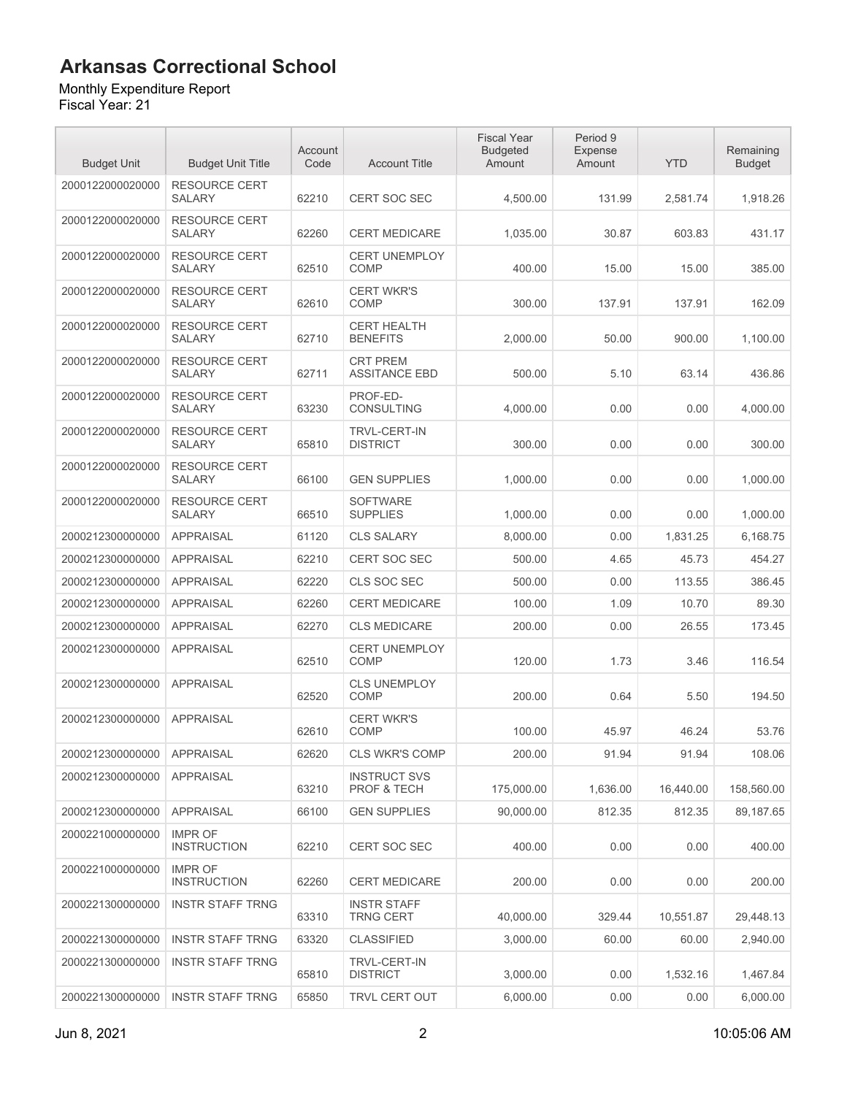### Monthly Expenditure Report

| <b>Budget Unit</b> | <b>Budget Unit Title</b>              | Account<br>Code | <b>Account Title</b>                    | <b>Fiscal Year</b><br><b>Budgeted</b><br>Amount | Period 9<br>Expense<br>Amount | <b>YTD</b> | Remaining<br><b>Budget</b> |
|--------------------|---------------------------------------|-----------------|-----------------------------------------|-------------------------------------------------|-------------------------------|------------|----------------------------|
| 2000122000020000   | <b>RESOURCE CERT</b><br><b>SALARY</b> | 62210           | <b>CERT SOC SEC</b>                     | 4,500.00                                        | 131.99                        | 2,581.74   | 1,918.26                   |
| 2000122000020000   | <b>RESOURCE CERT</b><br><b>SALARY</b> | 62260           | <b>CERT MEDICARE</b>                    | 1,035.00                                        | 30.87                         | 603.83     | 431.17                     |
| 2000122000020000   | <b>RESOURCE CERT</b><br><b>SALARY</b> | 62510           | <b>CERT UNEMPLOY</b><br><b>COMP</b>     | 400.00                                          | 15.00                         | 15.00      | 385.00                     |
| 2000122000020000   | RESOURCE CERT<br><b>SALARY</b>        | 62610           | <b>CERT WKR'S</b><br><b>COMP</b>        | 300.00                                          | 137.91                        | 137.91     | 162.09                     |
| 2000122000020000   | <b>RESOURCE CERT</b><br><b>SALARY</b> | 62710           | <b>CERT HEALTH</b><br><b>BENEFITS</b>   | 2,000.00                                        | 50.00                         | 900.00     | 1,100.00                   |
| 2000122000020000   | <b>RESOURCE CERT</b><br><b>SALARY</b> | 62711           | <b>CRT PREM</b><br><b>ASSITANCE EBD</b> | 500.00                                          | 5.10                          | 63.14      | 436.86                     |
| 2000122000020000   | <b>RESOURCE CERT</b><br><b>SALARY</b> | 63230           | PROF-ED-<br><b>CONSULTING</b>           | 4,000.00                                        | 0.00                          | 0.00       | 4,000.00                   |
| 2000122000020000   | <b>RESOURCE CERT</b><br><b>SALARY</b> | 65810           | <b>TRVL-CERT-IN</b><br><b>DISTRICT</b>  | 300.00                                          | 0.00                          | 0.00       | 300.00                     |
| 2000122000020000   | <b>RESOURCE CERT</b><br><b>SALARY</b> | 66100           | <b>GEN SUPPLIES</b>                     | 1,000.00                                        | 0.00                          | 0.00       | 1,000.00                   |
| 2000122000020000   | <b>RESOURCE CERT</b><br><b>SALARY</b> | 66510           | <b>SOFTWARE</b><br><b>SUPPLIES</b>      | 1,000.00                                        | 0.00                          | 0.00       | 1,000.00                   |
| 2000212300000000   | <b>APPRAISAL</b>                      | 61120           | <b>CLS SALARY</b>                       | 8,000.00                                        | 0.00                          | 1,831.25   | 6,168.75                   |
| 2000212300000000   | <b>APPRAISAL</b>                      | 62210           | <b>CERT SOC SEC</b>                     | 500.00                                          | 4.65                          | 45.73      | 454.27                     |
| 2000212300000000   | <b>APPRAISAL</b>                      | 62220           | CLS SOC SEC                             | 500.00                                          | 0.00                          | 113.55     | 386.45                     |
| 2000212300000000   | <b>APPRAISAL</b>                      | 62260           | <b>CERT MEDICARE</b>                    | 100.00                                          | 1.09                          | 10.70      | 89.30                      |
| 2000212300000000   | <b>APPRAISAL</b>                      | 62270           | <b>CLS MEDICARE</b>                     | 200.00                                          | 0.00                          | 26.55      | 173.45                     |
| 2000212300000000   | <b>APPRAISAL</b>                      | 62510           | <b>CERT UNEMPLOY</b><br><b>COMP</b>     | 120.00                                          | 1.73                          | 3.46       | 116.54                     |
| 2000212300000000   | <b>APPRAISAL</b>                      | 62520           | <b>CLS UNEMPLOY</b><br><b>COMP</b>      | 200.00                                          | 0.64                          | 5.50       | 194.50                     |
| 2000212300000000   | <b>APPRAISAL</b>                      | 62610           | <b>CERT WKR'S</b><br><b>COMP</b>        | 100.00                                          | 45.97                         | 46.24      | 53.76                      |
| 2000212300000000   | APPRAISAL                             | 62620           | <b>CLS WKR'S COMP</b>                   | 200.00                                          | 91.94                         | 91.94      | 108.06                     |
| 2000212300000000   | <b>APPRAISAL</b>                      | 63210           | <b>INSTRUCT SVS</b><br>PROF & TECH      | 175,000.00                                      | 1,636.00                      | 16,440.00  | 158,560.00                 |
| 2000212300000000   | <b>APPRAISAL</b>                      | 66100           | <b>GEN SUPPLIES</b>                     | 90,000.00                                       | 812.35                        | 812.35     | 89,187.65                  |
| 2000221000000000   | <b>IMPR OF</b><br><b>INSTRUCTION</b>  | 62210           | <b>CERT SOC SEC</b>                     | 400.00                                          | 0.00                          | 0.00       | 400.00                     |
| 2000221000000000   | <b>IMPR OF</b><br><b>INSTRUCTION</b>  | 62260           | <b>CERT MEDICARE</b>                    | 200.00                                          | 0.00                          | 0.00       | 200.00                     |
| 2000221300000000   | <b>INSTR STAFF TRNG</b>               | 63310           | <b>INSTR STAFF</b><br><b>TRNG CERT</b>  | 40.000.00                                       | 329.44                        | 10,551.87  | 29,448.13                  |
| 2000221300000000   | <b>INSTR STAFF TRNG</b>               | 63320           | <b>CLASSIFIED</b>                       | 3,000.00                                        | 60.00                         | 60.00      | 2,940.00                   |
| 2000221300000000   | <b>INSTR STAFF TRNG</b>               | 65810           | TRVL-CERT-IN<br><b>DISTRICT</b>         | 3,000.00                                        | 0.00                          | 1,532.16   | 1,467.84                   |
| 2000221300000000   | <b>INSTR STAFF TRNG</b>               | 65850           | <b>TRVL CERT OUT</b>                    | 6,000.00                                        | 0.00                          | 0.00       | 6,000.00                   |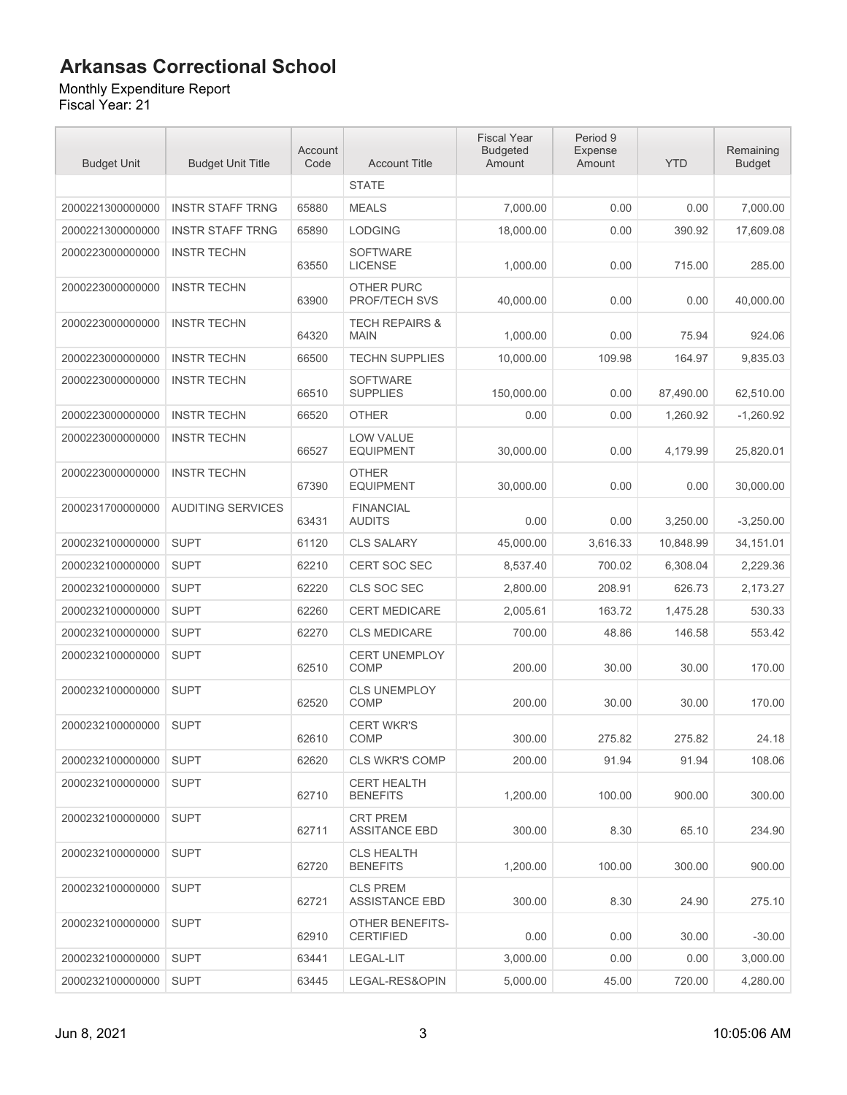### Monthly Expenditure Report

| <b>Budget Unit</b> | <b>Budget Unit Title</b> | Account<br>Code | <b>Account Title</b>                      | <b>Fiscal Year</b><br><b>Budgeted</b><br>Amount | Period 9<br><b>Expense</b><br>Amount | <b>YTD</b> | Remaining<br><b>Budget</b> |
|--------------------|--------------------------|-----------------|-------------------------------------------|-------------------------------------------------|--------------------------------------|------------|----------------------------|
|                    |                          |                 | <b>STATE</b>                              |                                                 |                                      |            |                            |
| 2000221300000000   | <b>INSTR STAFF TRNG</b>  | 65880           | <b>MEALS</b>                              | 7,000.00                                        | 0.00                                 | 0.00       | 7,000.00                   |
| 2000221300000000   | <b>INSTR STAFF TRNG</b>  | 65890           | <b>LODGING</b>                            | 18,000.00                                       | 0.00                                 | 390.92     | 17,609.08                  |
| 2000223000000000   | <b>INSTR TECHN</b>       | 63550           | <b>SOFTWARE</b><br><b>LICENSE</b>         | 1,000.00                                        | 0.00                                 | 715.00     | 285.00                     |
| 2000223000000000   | <b>INSTR TECHN</b>       | 63900           | <b>OTHER PURC</b><br><b>PROF/TECH SVS</b> | 40,000.00                                       | 0.00                                 | 0.00       | 40,000.00                  |
| 2000223000000000   | <b>INSTR TECHN</b>       | 64320           | <b>TECH REPAIRS &amp;</b><br><b>MAIN</b>  | 1,000.00                                        | 0.00                                 | 75.94      | 924.06                     |
| 2000223000000000   | <b>INSTR TECHN</b>       | 66500           | <b>TECHN SUPPLIES</b>                     | 10,000.00                                       | 109.98                               | 164.97     | 9,835.03                   |
| 2000223000000000   | <b>INSTR TECHN</b>       | 66510           | <b>SOFTWARE</b><br><b>SUPPLIES</b>        | 150,000.00                                      | 0.00                                 | 87,490.00  | 62,510.00                  |
| 2000223000000000   | <b>INSTR TECHN</b>       | 66520           | <b>OTHER</b>                              | 0.00                                            | 0.00                                 | 1,260.92   | $-1,260.92$                |
| 2000223000000000   | <b>INSTR TECHN</b>       | 66527           | <b>LOW VALUE</b><br><b>EQUIPMENT</b>      | 30,000.00                                       | 0.00                                 | 4,179.99   | 25,820.01                  |
| 2000223000000000   | <b>INSTR TECHN</b>       | 67390           | <b>OTHER</b><br><b>EQUIPMENT</b>          | 30,000.00                                       | 0.00                                 | 0.00       | 30,000.00                  |
| 2000231700000000   | <b>AUDITING SERVICES</b> | 63431           | <b>FINANCIAL</b><br><b>AUDITS</b>         | 0.00                                            | 0.00                                 | 3,250.00   | $-3,250.00$                |
| 2000232100000000   | <b>SUPT</b>              | 61120           | <b>CLS SALARY</b>                         | 45,000.00                                       | 3,616.33                             | 10,848.99  | 34,151.01                  |
| 2000232100000000   | <b>SUPT</b>              | 62210           | <b>CERT SOC SEC</b>                       | 8,537.40                                        | 700.02                               | 6,308.04   | 2,229.36                   |
| 2000232100000000   | <b>SUPT</b>              | 62220           | CLS SOC SEC                               | 2,800.00                                        | 208.91                               | 626.73     | 2,173.27                   |
| 2000232100000000   | <b>SUPT</b>              | 62260           | <b>CERT MEDICARE</b>                      | 2,005.61                                        | 163.72                               | 1,475.28   | 530.33                     |
| 2000232100000000   | <b>SUPT</b>              | 62270           | <b>CLS MEDICARE</b>                       | 700.00                                          | 48.86                                | 146.58     | 553.42                     |
| 2000232100000000   | <b>SUPT</b>              | 62510           | <b>CERT UNEMPLOY</b><br><b>COMP</b>       | 200.00                                          | 30.00                                | 30.00      | 170.00                     |
| 2000232100000000   | <b>SUPT</b>              | 62520           | <b>CLS UNEMPLOY</b><br><b>COMP</b>        | 200.00                                          | 30.00                                | 30.00      | 170.00                     |
| 2000232100000000   | <b>SUPT</b>              | 62610           | <b>CERT WKR'S</b><br><b>COMP</b>          | 300.00                                          | 275.82                               | 275.82     | 24.18                      |
| 2000232100000000   | <b>SUPT</b>              | 62620           | <b>CLS WKR'S COMP</b>                     | 200.00                                          | 91.94                                | 91.94      | 108.06                     |
| 2000232100000000   | <b>SUPT</b>              | 62710           | <b>CERT HEALTH</b><br><b>BENEFITS</b>     | 1,200.00                                        | 100.00                               | 900.00     | 300.00                     |
| 2000232100000000   | <b>SUPT</b>              | 62711           | <b>CRT PREM</b><br><b>ASSITANCE EBD</b>   | 300.00                                          | 8.30                                 | 65.10      | 234.90                     |
| 2000232100000000   | <b>SUPT</b>              | 62720           | <b>CLS HEALTH</b><br><b>BENEFITS</b>      | 1.200.00                                        | 100.00                               | 300.00     | 900.00                     |
| 2000232100000000   | <b>SUPT</b>              | 62721           | <b>CLS PREM</b><br><b>ASSISTANCE EBD</b>  | 300.00                                          | 8.30                                 | 24.90      | 275.10                     |
| 2000232100000000   | <b>SUPT</b>              | 62910           | OTHER BENEFITS-<br><b>CERTIFIED</b>       | 0.00                                            | 0.00                                 | 30.00      | $-30.00$                   |
| 2000232100000000   | <b>SUPT</b>              | 63441           | LEGAL-LIT                                 | 3,000.00                                        | 0.00                                 | 0.00       | 3,000.00                   |
| 2000232100000000   | <b>SUPT</b>              | 63445           | LEGAL-RES&OPIN                            | 5,000.00                                        | 45.00                                | 720.00     | 4,280.00                   |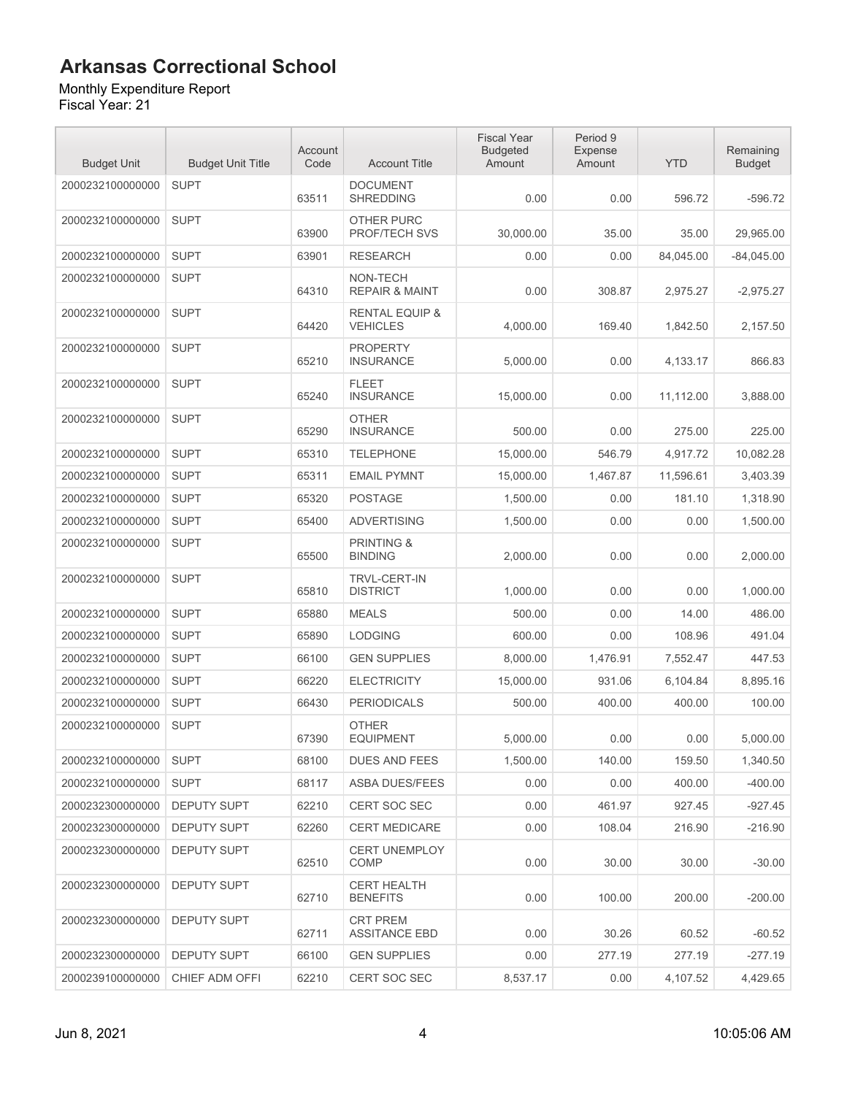Monthly Expenditure Report Fiscal Year: 21

| <b>Budget Unit</b> | <b>Budget Unit Title</b> | Account<br>Code | <b>Account Title</b>                         | <b>Fiscal Year</b><br><b>Budgeted</b><br>Amount | Period 9<br><b>Expense</b><br>Amount | <b>YTD</b> | Remaining<br><b>Budget</b> |
|--------------------|--------------------------|-----------------|----------------------------------------------|-------------------------------------------------|--------------------------------------|------------|----------------------------|
| 2000232100000000   | <b>SUPT</b>              | 63511           | <b>DOCUMENT</b><br><b>SHREDDING</b>          | 0.00                                            | 0.00                                 | 596.72     | $-596.72$                  |
| 2000232100000000   | <b>SUPT</b>              | 63900           | <b>OTHER PURC</b><br>PROF/TECH SVS           | 30,000.00                                       | 35.00                                | 35.00      | 29,965.00                  |
| 2000232100000000   | <b>SUPT</b>              | 63901           | <b>RESEARCH</b>                              | 0.00                                            | 0.00                                 | 84,045.00  | $-84,045.00$               |
| 2000232100000000   | <b>SUPT</b>              | 64310           | NON-TECH<br><b>REPAIR &amp; MAINT</b>        | 0.00                                            | 308.87                               | 2,975.27   | $-2,975.27$                |
| 2000232100000000   | <b>SUPT</b>              | 64420           | <b>RENTAL EQUIP &amp;</b><br><b>VEHICLES</b> | 4,000.00                                        | 169.40                               | 1,842.50   | 2,157.50                   |
| 2000232100000000   | <b>SUPT</b>              | 65210           | <b>PROPERTY</b><br><b>INSURANCE</b>          | 5,000.00                                        | 0.00                                 | 4,133.17   | 866.83                     |
| 2000232100000000   | <b>SUPT</b>              | 65240           | <b>FLEET</b><br><b>INSURANCE</b>             | 15,000.00                                       | 0.00                                 | 11,112.00  | 3,888.00                   |
| 2000232100000000   | <b>SUPT</b>              | 65290           | <b>OTHER</b><br><b>INSURANCE</b>             | 500.00                                          | 0.00                                 | 275.00     | 225.00                     |
| 2000232100000000   | <b>SUPT</b>              | 65310           | <b>TELEPHONE</b>                             | 15,000.00                                       | 546.79                               | 4,917.72   | 10,082.28                  |
| 2000232100000000   | <b>SUPT</b>              | 65311           | <b>EMAIL PYMNT</b>                           | 15,000.00                                       | 1,467.87                             | 11,596.61  | 3,403.39                   |
| 2000232100000000   | <b>SUPT</b>              | 65320           | <b>POSTAGE</b>                               | 1,500.00                                        | 0.00                                 | 181.10     | 1,318.90                   |
| 2000232100000000   | <b>SUPT</b>              | 65400           | <b>ADVERTISING</b>                           | 1,500.00                                        | 0.00                                 | 0.00       | 1,500.00                   |
| 2000232100000000   | <b>SUPT</b>              | 65500           | <b>PRINTING &amp;</b><br><b>BINDING</b>      | 2,000.00                                        | 0.00                                 | 0.00       | 2,000.00                   |
| 2000232100000000   | <b>SUPT</b>              | 65810           | <b>TRVL-CERT-IN</b><br><b>DISTRICT</b>       | 1,000.00                                        | 0.00                                 | 0.00       | 1,000.00                   |
| 2000232100000000   | <b>SUPT</b>              | 65880           | <b>MEALS</b>                                 | 500.00                                          | 0.00                                 | 14.00      | 486.00                     |
| 2000232100000000   | <b>SUPT</b>              | 65890           | <b>LODGING</b>                               | 600.00                                          | 0.00                                 | 108.96     | 491.04                     |
| 2000232100000000   | <b>SUPT</b>              | 66100           | <b>GEN SUPPLIES</b>                          | 8,000.00                                        | 1,476.91                             | 7,552.47   | 447.53                     |
| 2000232100000000   | <b>SUPT</b>              | 66220           | <b>ELECTRICITY</b>                           | 15,000.00                                       | 931.06                               | 6,104.84   | 8,895.16                   |
| 2000232100000000   | <b>SUPT</b>              | 66430           | <b>PERIODICALS</b>                           | 500.00                                          | 400.00                               | 400.00     | 100.00                     |
| 2000232100000000   | <b>SUPT</b>              | 67390           | <b>OTHER</b><br><b>EQUIPMENT</b>             | 5,000.00                                        | 0.00                                 | 0.00       | 5,000.00                   |
| 2000232100000000   | <b>SUPT</b>              | 68100           | <b>DUES AND FEES</b>                         | 1,500.00                                        | 140.00                               | 159.50     | 1,340.50                   |
| 2000232100000000   | <b>SUPT</b>              | 68117           | <b>ASBA DUES/FEES</b>                        | 0.00                                            | 0.00                                 | 400.00     | $-400.00$                  |
| 2000232300000000   | <b>DEPUTY SUPT</b>       | 62210           | CERT SOC SEC                                 | 0.00                                            | 461.97                               | 927.45     | $-927.45$                  |
| 2000232300000000   | <b>DEPUTY SUPT</b>       | 62260           | <b>CERT MEDICARE</b>                         | 0.00                                            | 108.04                               | 216.90     | $-216.90$                  |
| 2000232300000000   | DEPUTY SUPT              | 62510           | CERT UNEMPLOY<br><b>COMP</b>                 | 0.00                                            | 30.00                                | 30.00      | $-30.00$                   |
| 2000232300000000   | <b>DEPUTY SUPT</b>       | 62710           | <b>CERT HEALTH</b><br><b>BENEFITS</b>        | 0.00                                            | 100.00                               | 200.00     | $-200.00$                  |
| 2000232300000000   | <b>DEPUTY SUPT</b>       | 62711           | <b>CRT PREM</b><br><b>ASSITANCE EBD</b>      | 0.00                                            | 30.26                                | 60.52      | $-60.52$                   |
| 2000232300000000   | <b>DEPUTY SUPT</b>       | 66100           | <b>GEN SUPPLIES</b>                          | 0.00                                            | 277.19                               | 277.19     | $-277.19$                  |
| 2000239100000000   | CHIEF ADM OFFI           | 62210           | CERT SOC SEC                                 | 8,537.17                                        | 0.00                                 | 4,107.52   | 4,429.65                   |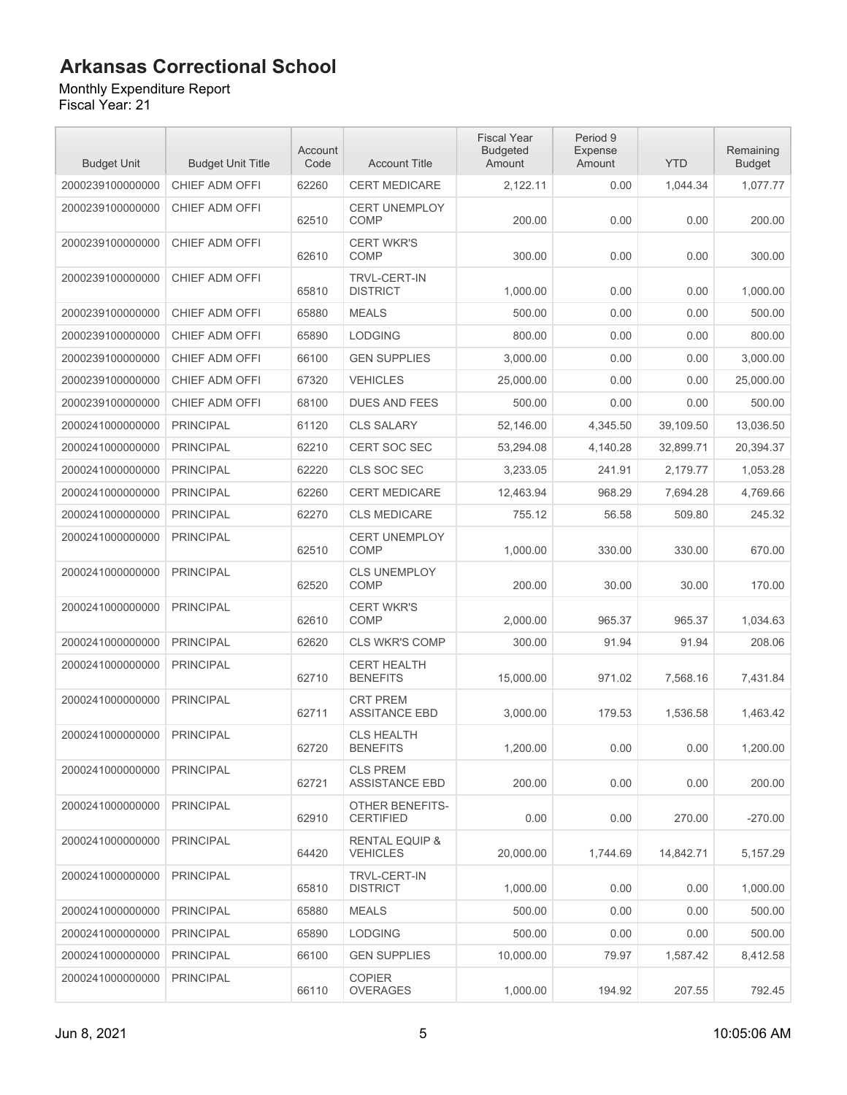#### Monthly Expenditure Report

| <b>Budget Unit</b> | <b>Budget Unit Title</b> | Account<br>Code | <b>Account Title</b>                         | <b>Fiscal Year</b><br><b>Budgeted</b><br>Amount | Period 9<br><b>Expense</b><br>Amount | <b>YTD</b> | Remaining<br><b>Budget</b> |
|--------------------|--------------------------|-----------------|----------------------------------------------|-------------------------------------------------|--------------------------------------|------------|----------------------------|
| 2000239100000000   | CHIEF ADM OFFI           | 62260           | <b>CERT MEDICARE</b>                         | 2,122.11                                        | 0.00                                 | 1,044.34   | 1,077.77                   |
| 2000239100000000   | CHIEF ADM OFFI           | 62510           | <b>CERT UNEMPLOY</b><br><b>COMP</b>          | 200.00                                          | 0.00                                 | 0.00       | 200.00                     |
| 2000239100000000   | CHIEF ADM OFFI           | 62610           | <b>CERT WKR'S</b><br><b>COMP</b>             | 300.00                                          | 0.00                                 | 0.00       | 300.00                     |
| 2000239100000000   | CHIEF ADM OFFI           | 65810           | <b>TRVL-CERT-IN</b><br><b>DISTRICT</b>       | 1,000.00                                        | 0.00                                 | 0.00       | 1,000.00                   |
| 2000239100000000   | CHIEF ADM OFFI           | 65880           | <b>MEALS</b>                                 | 500.00                                          | 0.00                                 | 0.00       | 500.00                     |
| 2000239100000000   | CHIEF ADM OFFI           | 65890           | <b>LODGING</b>                               | 800.00                                          | 0.00                                 | 0.00       | 800.00                     |
| 2000239100000000   | CHIEF ADM OFFI           | 66100           | <b>GEN SUPPLIES</b>                          | 3,000.00                                        | 0.00                                 | 0.00       | 3,000.00                   |
| 2000239100000000   | CHIEF ADM OFFI           | 67320           | <b>VEHICLES</b>                              | 25,000.00                                       | 0.00                                 | 0.00       | 25,000.00                  |
| 2000239100000000   | CHIEF ADM OFFI           | 68100           | <b>DUES AND FEES</b>                         | 500.00                                          | 0.00                                 | 0.00       | 500.00                     |
| 2000241000000000   | <b>PRINCIPAL</b>         | 61120           | <b>CLS SALARY</b>                            | 52,146.00                                       | 4,345.50                             | 39,109.50  | 13,036.50                  |
| 2000241000000000   | <b>PRINCIPAL</b>         | 62210           | <b>CERT SOC SEC</b>                          | 53,294.08                                       | 4,140.28                             | 32,899.71  | 20,394.37                  |
| 2000241000000000   | <b>PRINCIPAL</b>         | 62220           | CLS SOC SEC                                  | 3,233.05                                        | 241.91                               | 2,179.77   | 1,053.28                   |
| 2000241000000000   | <b>PRINCIPAL</b>         | 62260           | <b>CERT MEDICARE</b>                         | 12,463.94                                       | 968.29                               | 7,694.28   | 4,769.66                   |
| 2000241000000000   | <b>PRINCIPAL</b>         | 62270           | <b>CLS MEDICARE</b>                          | 755.12                                          | 56.58                                | 509.80     | 245.32                     |
| 2000241000000000   | <b>PRINCIPAL</b>         | 62510           | CERT UNEMPLOY<br><b>COMP</b>                 | 1,000.00                                        | 330.00                               | 330.00     | 670.00                     |
| 2000241000000000   | <b>PRINCIPAL</b>         | 62520           | <b>CLS UNEMPLOY</b><br>COMP                  | 200.00                                          | 30.00                                | 30.00      | 170.00                     |
| 2000241000000000   | <b>PRINCIPAL</b>         | 62610           | <b>CERT WKR'S</b><br><b>COMP</b>             | 2,000.00                                        | 965.37                               | 965.37     | 1,034.63                   |
| 2000241000000000   | <b>PRINCIPAL</b>         | 62620           | <b>CLS WKR'S COMP</b>                        | 300.00                                          | 91.94                                | 91.94      | 208.06                     |
| 2000241000000000   | <b>PRINCIPAL</b>         | 62710           | <b>CERT HEALTH</b><br><b>BENEFITS</b>        | 15,000.00                                       | 971.02                               | 7,568.16   | 7,431.84                   |
| 2000241000000000   | <b>PRINCIPAL</b>         | 62711           | <b>CRT PREM</b><br><b>ASSITANCE EBD</b>      | 3,000.00                                        | 179.53                               | 1,536.58   | 1,463.42                   |
| 2000241000000000   | <b>PRINCIPAL</b>         | 62720           | <b>CLS HEALTH</b><br><b>BENEFITS</b>         | 1,200.00                                        | 0.00                                 | 0.00       | 1,200.00                   |
| 2000241000000000   | <b>PRINCIPAL</b>         | 62721           | <b>CLS PREM</b><br><b>ASSISTANCE EBD</b>     | 200.00                                          | 0.00                                 | 0.00       | 200.00                     |
| 2000241000000000   | <b>PRINCIPAL</b>         | 62910           | OTHER BENEFITS-<br><b>CERTIFIED</b>          | 0.00                                            | 0.00                                 | 270.00     | $-270.00$                  |
| 2000241000000000   | <b>PRINCIPAL</b>         | 64420           | <b>RENTAL EQUIP &amp;</b><br><b>VEHICLES</b> | 20.000.00                                       | 1.744.69                             | 14,842.71  | 5,157.29                   |
| 2000241000000000   | <b>PRINCIPAL</b>         | 65810           | TRVL-CERT-IN<br><b>DISTRICT</b>              | 1,000.00                                        | 0.00                                 | 0.00       | 1,000.00                   |
| 2000241000000000   | <b>PRINCIPAL</b>         | 65880           | <b>MEALS</b>                                 | 500.00                                          | 0.00                                 | 0.00       | 500.00                     |
| 2000241000000000   | <b>PRINCIPAL</b>         | 65890           | <b>LODGING</b>                               | 500.00                                          | 0.00                                 | 0.00       | 500.00                     |
| 2000241000000000   | <b>PRINCIPAL</b>         | 66100           | <b>GEN SUPPLIES</b>                          | 10,000.00                                       | 79.97                                | 1,587.42   | 8,412.58                   |
| 2000241000000000   | <b>PRINCIPAL</b>         | 66110           | <b>COPIER</b><br><b>OVERAGES</b>             | 1,000.00                                        | 194.92                               | 207.55     | 792.45                     |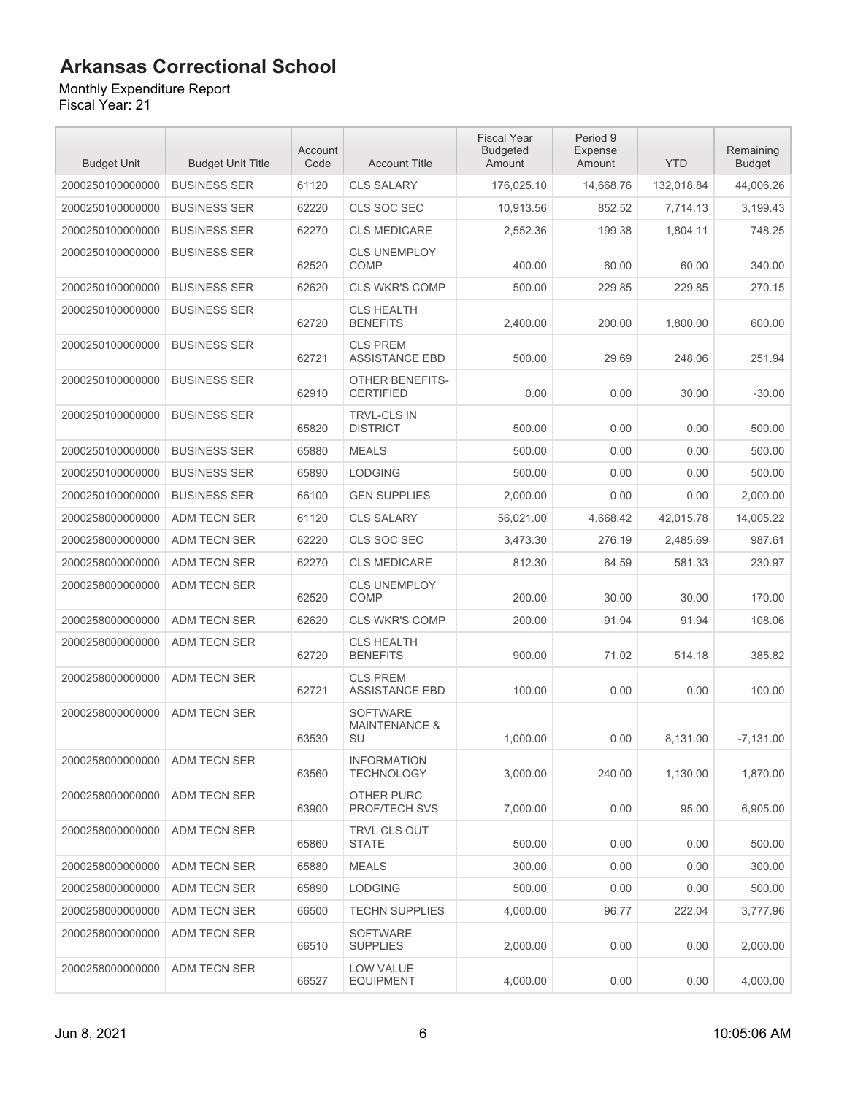### Monthly Expenditure Report

| <b>Budget Unit</b> | <b>Budget Unit Title</b> | Account<br>Code | <b>Account Title</b>                              | <b>Fiscal Year</b><br><b>Budgeted</b><br>Amount | Period 9<br>Expense<br>Amount | <b>YTD</b> | Remaining<br><b>Budget</b> |
|--------------------|--------------------------|-----------------|---------------------------------------------------|-------------------------------------------------|-------------------------------|------------|----------------------------|
| 2000250100000000   | <b>BUSINESS SER</b>      | 61120           | <b>CLS SALARY</b>                                 | 176,025.10                                      | 14,668.76                     | 132,018.84 | 44,006.26                  |
| 2000250100000000   | <b>BUSINESS SER</b>      | 62220           | CLS SOC SEC                                       | 10,913.56                                       | 852.52                        | 7,714.13   | 3,199.43                   |
| 2000250100000000   | <b>BUSINESS SER</b>      | 62270           | <b>CLS MEDICARE</b>                               | 2,552.36                                        | 199.38                        | 1,804.11   | 748.25                     |
| 2000250100000000   | <b>BUSINESS SER</b>      | 62520           | <b>CLS UNEMPLOY</b><br>COMP                       | 400.00                                          | 60.00                         | 60.00      | 340.00                     |
| 2000250100000000   | <b>BUSINESS SER</b>      | 62620           | <b>CLS WKR'S COMP</b>                             | 500.00                                          | 229.85                        | 229.85     | 270.15                     |
| 2000250100000000   | <b>BUSINESS SER</b>      | 62720           | <b>CLS HEALTH</b><br><b>BENEFITS</b>              | 2,400.00                                        | 200.00                        | 1,800.00   | 600.00                     |
| 2000250100000000   | <b>BUSINESS SER</b>      | 62721           | <b>CLS PREM</b><br><b>ASSISTANCE EBD</b>          | 500.00                                          | 29.69                         | 248.06     | 251.94                     |
| 2000250100000000   | <b>BUSINESS SER</b>      | 62910           | OTHER BENEFITS-<br><b>CERTIFIED</b>               | 0.00                                            | 0.00                          | 30.00      | $-30.00$                   |
| 2000250100000000   | <b>BUSINESS SER</b>      | 65820           | <b>TRVL-CLS IN</b><br><b>DISTRICT</b>             | 500.00                                          | 0.00                          | 0.00       | 500.00                     |
| 2000250100000000   | <b>BUSINESS SER</b>      | 65880           | <b>MEALS</b>                                      | 500.00                                          | 0.00                          | 0.00       | 500.00                     |
| 2000250100000000   | <b>BUSINESS SER</b>      | 65890           | <b>LODGING</b>                                    | 500.00                                          | 0.00                          | 0.00       | 500.00                     |
| 2000250100000000   | <b>BUSINESS SER</b>      | 66100           | <b>GEN SUPPLIES</b>                               | 2.000.00                                        | 0.00                          | 0.00       | 2,000.00                   |
| 2000258000000000   | ADM TECN SER             | 61120           | <b>CLS SALARY</b>                                 | 56,021.00                                       | 4,668.42                      | 42,015.78  | 14,005.22                  |
| 2000258000000000   | ADM TECN SER             | 62220           | CLS SOC SEC                                       | 3,473.30                                        | 276.19                        | 2,485.69   | 987.61                     |
| 2000258000000000   | ADM TECN SER             | 62270           | <b>CLS MEDICARE</b>                               | 812.30                                          | 64.59                         | 581.33     | 230.97                     |
| 2000258000000000   | ADM TECN SER             | 62520           | <b>CLS UNEMPLOY</b><br><b>COMP</b>                | 200.00                                          | 30.00                         | 30.00      | 170.00                     |
| 2000258000000000   | ADM TECN SER             | 62620           | <b>CLS WKR'S COMP</b>                             | 200.00                                          | 91.94                         | 91.94      | 108.06                     |
| 2000258000000000   | ADM TECN SER             | 62720           | <b>CLS HEALTH</b><br><b>BENEFITS</b>              | 900.00                                          | 71.02                         | 514.18     | 385.82                     |
| 2000258000000000   | <b>ADM TECN SER</b>      | 62721           | <b>CLS PREM</b><br><b>ASSISTANCE EBD</b>          | 100.00                                          | 0.00                          | 0.00       | 100.00                     |
| 2000258000000000   | ADM TECN SER             | 63530           | <b>SOFTWARE</b><br><b>MAINTENANCE &amp;</b><br>SU | 1,000.00                                        | 0.00                          | 8,131.00   | $-7,131.00$                |
| 2000258000000000   | <b>ADM TECN SER</b>      | 63560           | <b>INFORMATION</b><br><b>TECHNOLOGY</b>           | 3,000.00                                        | 240.00                        | 1,130.00   | 1,870.00                   |
| 2000258000000000   | ADM TECN SER             | 63900           | OTHER PURC<br>PROF/TECH SVS                       | 7,000.00                                        | 0.00                          | 95.00      | 6,905.00                   |
| 2000258000000000   | ADM TECN SER             | 65860           | TRVL CLS OUT<br><b>STATE</b>                      | 500.00                                          | 0.00                          | 0.00       | 500.00                     |
| 2000258000000000   | <b>ADM TECN SER</b>      | 65880           | <b>MEALS</b>                                      | 300.00                                          | 0.00                          | 0.00       | 300.00                     |
| 2000258000000000   | ADM TECN SER             | 65890           | <b>LODGING</b>                                    | 500.00                                          | 0.00                          | 0.00       | 500.00                     |
| 2000258000000000   | ADM TECN SER             | 66500           | <b>TECHN SUPPLIES</b>                             | 4,000.00                                        | 96.77                         | 222.04     | 3,777.96                   |
| 2000258000000000   | ADM TECN SER             | 66510           | <b>SOFTWARE</b><br><b>SUPPLIES</b>                | 2,000.00                                        | 0.00                          | 0.00       | 2,000.00                   |
| 2000258000000000   | ADM TECN SER             | 66527           | LOW VALUE<br><b>EQUIPMENT</b>                     | 4,000.00                                        | 0.00                          | 0.00       | 4,000.00                   |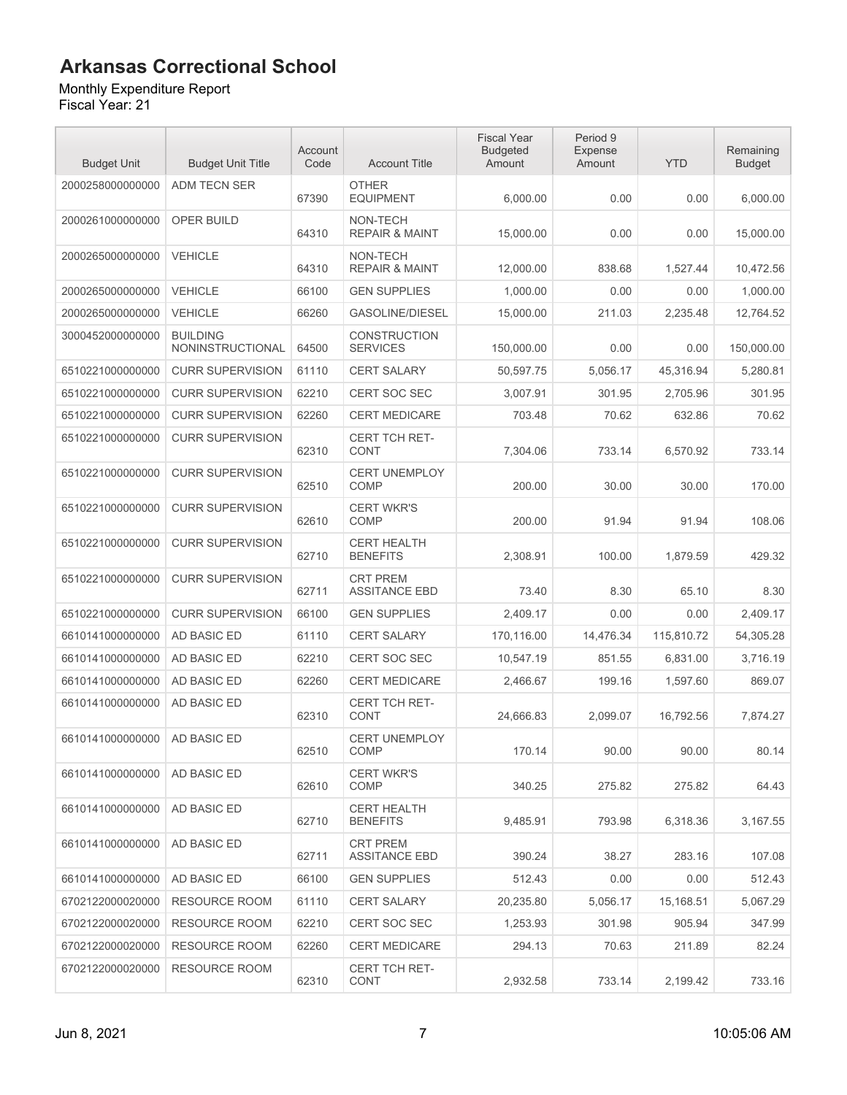Monthly Expenditure Report

| <b>Budget Unit</b> | <b>Budget Unit Title</b>                   | Account<br>Code | <b>Account Title</b>                    | <b>Fiscal Year</b><br><b>Budgeted</b><br>Amount | Period 9<br>Expense<br>Amount | <b>YTD</b> | Remaining<br><b>Budget</b> |
|--------------------|--------------------------------------------|-----------------|-----------------------------------------|-------------------------------------------------|-------------------------------|------------|----------------------------|
| 2000258000000000   | ADM TECN SER                               | 67390           | <b>OTHER</b><br><b>EQUIPMENT</b>        | 6,000.00                                        | 0.00                          | 0.00       | 6,000.00                   |
| 2000261000000000   | OPER BUILD                                 | 64310           | NON-TECH<br><b>REPAIR &amp; MAINT</b>   | 15,000.00                                       | 0.00                          | 0.00       | 15,000.00                  |
| 2000265000000000   | <b>VEHICLE</b>                             | 64310           | NON-TECH<br><b>REPAIR &amp; MAINT</b>   | 12,000.00                                       | 838.68                        | 1,527.44   | 10,472.56                  |
| 2000265000000000   | <b>VEHICLE</b>                             | 66100           | <b>GEN SUPPLIES</b>                     | 1,000.00                                        | 0.00                          | 0.00       | 1.000.00                   |
| 2000265000000000   | <b>VEHICLE</b>                             | 66260           | <b>GASOLINE/DIESEL</b>                  | 15,000.00                                       | 211.03                        | 2,235.48   | 12,764.52                  |
| 3000452000000000   | <b>BUILDING</b><br><b>NONINSTRUCTIONAL</b> | 64500           | <b>CONSTRUCTION</b><br><b>SERVICES</b>  | 150,000.00                                      | 0.00                          | 0.00       | 150,000.00                 |
| 6510221000000000   | <b>CURR SUPERVISION</b>                    | 61110           | <b>CERT SALARY</b>                      | 50,597.75                                       | 5,056.17                      | 45,316.94  | 5,280.81                   |
| 6510221000000000   | <b>CURR SUPERVISION</b>                    | 62210           | CERT SOC SEC                            | 3,007.91                                        | 301.95                        | 2,705.96   | 301.95                     |
| 6510221000000000   | <b>CURR SUPERVISION</b>                    | 62260           | <b>CERT MEDICARE</b>                    | 703.48                                          | 70.62                         | 632.86     | 70.62                      |
| 6510221000000000   | <b>CURR SUPERVISION</b>                    | 62310           | <b>CERT TCH RET-</b><br><b>CONT</b>     | 7.304.06                                        | 733.14                        | 6,570.92   | 733.14                     |
| 6510221000000000   | <b>CURR SUPERVISION</b>                    | 62510           | CERT UNEMPLOY<br><b>COMP</b>            | 200.00                                          | 30.00                         | 30.00      | 170.00                     |
| 6510221000000000   | <b>CURR SUPERVISION</b>                    | 62610           | <b>CERT WKR'S</b><br>COMP               | 200.00                                          | 91.94                         | 91.94      | 108.06                     |
| 6510221000000000   | <b>CURR SUPERVISION</b>                    | 62710           | <b>CERT HEALTH</b><br><b>BENEFITS</b>   | 2,308.91                                        | 100.00                        | 1,879.59   | 429.32                     |
| 6510221000000000   | <b>CURR SUPERVISION</b>                    | 62711           | <b>CRT PREM</b><br><b>ASSITANCE EBD</b> | 73.40                                           | 8.30                          | 65.10      | 8.30                       |
| 6510221000000000   | <b>CURR SUPERVISION</b>                    | 66100           | <b>GEN SUPPLIES</b>                     | 2,409.17                                        | 0.00                          | 0.00       | 2,409.17                   |
| 6610141000000000   | AD BASIC ED                                | 61110           | <b>CERT SALARY</b>                      | 170,116.00                                      | 14,476.34                     | 115,810.72 | 54,305.28                  |
| 6610141000000000   | AD BASIC ED                                | 62210           | CERT SOC SEC                            | 10,547.19                                       | 851.55                        | 6,831.00   | 3,716.19                   |
| 6610141000000000   | <b>AD BASIC ED</b>                         | 62260           | <b>CERT MEDICARE</b>                    | 2,466.67                                        | 199.16                        | 1,597.60   | 869.07                     |
| 6610141000000000   | AD BASIC ED                                | 62310           | CERT TCH RET-<br><b>CONT</b>            | 24,666.83                                       | 2.099.07                      | 16,792.56  | 7.874.27                   |
| 6610141000000000   | AD BASIC ED                                | 62510           | <b>CERT UNEMPLOY</b><br><b>COMP</b>     | 170.14                                          | 90.00                         | 90.00      | 80.14                      |
| 6610141000000000   | AD BASIC ED                                | 62610           | <b>CERT WKR'S</b><br>COMP               | 340.25                                          | 275.82                        | 275.82     | 64.43                      |
| 6610141000000000   | AD BASIC ED                                | 62710           | <b>CERT HEALTH</b><br><b>BENEFITS</b>   | 9,485.91                                        | 793.98                        | 6,318.36   | 3,167.55                   |
| 6610141000000000   | AD BASIC ED                                | 62711           | <b>CRT PREM</b><br><b>ASSITANCE EBD</b> | 390.24                                          | 38.27                         | 283.16     | 107.08                     |
| 6610141000000000   | AD BASIC ED                                | 66100           | <b>GEN SUPPLIES</b>                     | 512.43                                          | 0.00                          | 0.00       | 512.43                     |
| 6702122000020000   | RESOURCE ROOM                              | 61110           | <b>CERT SALARY</b>                      | 20,235.80                                       | 5,056.17                      | 15,168.51  | 5,067.29                   |
| 6702122000020000   | <b>RESOURCE ROOM</b>                       | 62210           | CERT SOC SEC                            | 1,253.93                                        | 301.98                        | 905.94     | 347.99                     |
| 6702122000020000   | <b>RESOURCE ROOM</b>                       | 62260           | <b>CERT MEDICARE</b>                    | 294.13                                          | 70.63                         | 211.89     | 82.24                      |
| 6702122000020000   | RESOURCE ROOM                              | 62310           | CERT TCH RET-<br>CONT                   | 2,932.58                                        | 733.14                        | 2,199.42   | 733.16                     |